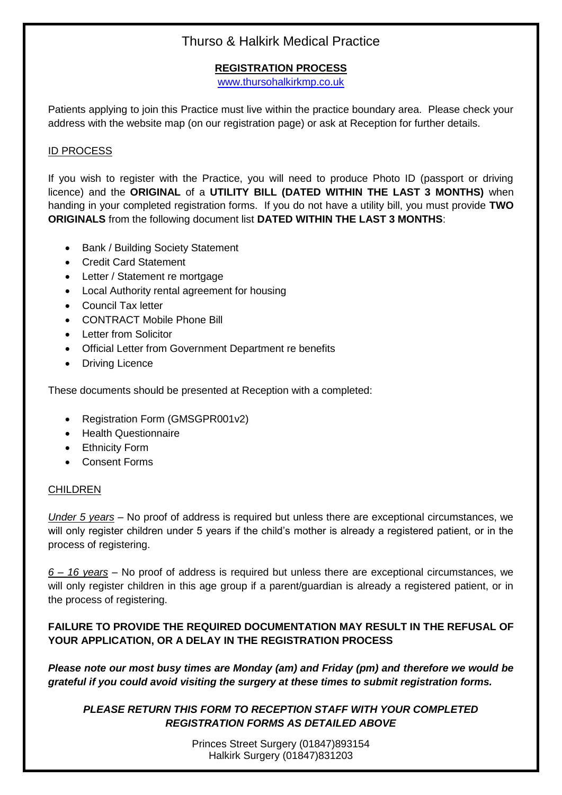# Thurso & Halkirk Medical Practice

# **REGISTRATION PROCESS**

[www.thursohalkirkmp.co.uk](http://www.thursohalkirkmp.co.uk/)

Patients applying to join this Practice must live within the practice boundary area. Please check your address with the website map (on our registration page) or ask at Reception for further details.

## ID PROCESS

If you wish to register with the Practice, you will need to produce Photo ID (passport or driving licence) and the **ORIGINAL** of a **UTILITY BILL (DATED WITHIN THE LAST 3 MONTHS)** when handing in your completed registration forms. If you do not have a utility bill, you must provide **TWO ORIGINALS** from the following document list **DATED WITHIN THE LAST 3 MONTHS**:

- Bank / Building Society Statement
- Credit Card Statement
- Letter / Statement re mortgage
- Local Authority rental agreement for housing
- Council Tax letter
- CONTRACT Mobile Phone Bill
- Letter from Solicitor
- Official Letter from Government Department re benefits
- Driving Licence

These documents should be presented at Reception with a completed:

- Registration Form (GMSGPR001v2)
- Health Questionnaire
- Ethnicity Form
- Consent Forms

### CHILDREN

*Under 5 years* – No proof of address is required but unless there are exceptional circumstances, we will only register children under 5 years if the child's mother is already a registered patient, or in the process of registering.

*6 – 16 years* – No proof of address is required but unless there are exceptional circumstances, we will only register children in this age group if a parent/guardian is already a registered patient, or in the process of registering.

# **FAILURE TO PROVIDE THE REQUIRED DOCUMENTATION MAY RESULT IN THE REFUSAL OF YOUR APPLICATION, OR A DELAY IN THE REGISTRATION PROCESS**

*Please note our most busy times are Monday (am) and Friday (pm) and therefore we would be grateful if you could avoid visiting the surgery at these times to submit registration forms.*

*PLEASE RETURN THIS FORM TO RECEPTION STAFF WITH YOUR COMPLETED REGISTRATION FORMS AS DETAILED ABOVE*

> Princes Street Surgery (01847)893154 Halkirk Surgery (01847)831203